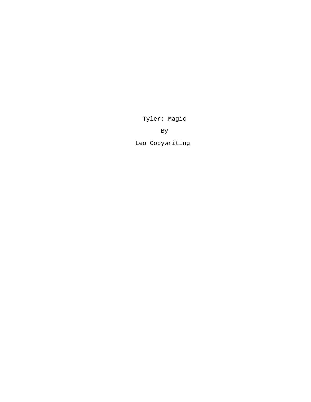Tyler: Magic

By

Leo Copywriting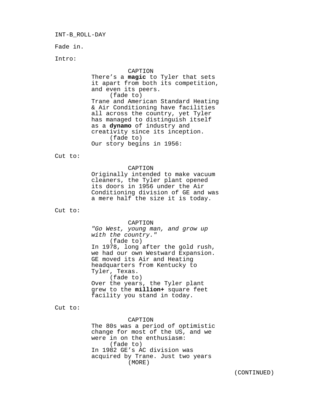INT-B\_ROLL-DAY

Fade in.

Intro:

## CAPTION

There's a **magic** to Tyler that sets it apart from both its competition, and even its peers. (fade to) Trane and American Standard Heating & Air Conditioning have facilities all across the country, yet Tyler has managed to distinguish itself as a **dynamo** of industry and creativity since its inception. (fade to) Our story begins in 1956:

Cut to:

# CAPTION

Originally intended to make vacuum cleaners, the Tyler plant opened its doors in 1956 under the Air Conditioning division of GE and was a mere half the size it is today.

Cut to:

## CAPTION

*"Go West, young man, and grow up with the country."* (fade to) In 1978, long after the gold rush, we had our own Westward Expansion. GE moved its Air and Heating headquarters from Kentucky to Tyler, Texas. (fade to) Over the years, the Tyler plant grew to the **million+** square feet facility you stand in today.

Cut to:

## CAPTION

The 80s was a period of optimistic change for most of the US, and we were in on the enthusiasm: (fade to) In 1982 GE's AC division was acquired by Trane. Just two years (MORE)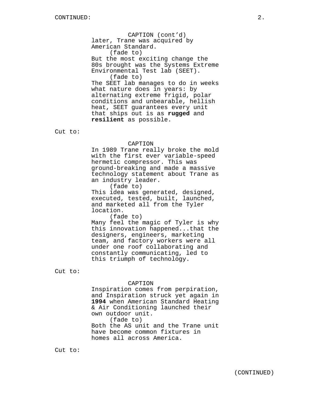CAPTION (cont'd) later, Trane was acquired by American Standard. (fade to) But the most exciting change the 80s brought was the Systems Extreme Environmental Test lab (SEET). (fade to) The SEET lab manages to do in weeks what nature does in years: by alternating extreme frigid, polar conditions and unbearable, hellish heat, SEET guarantees every unit that ships out is as **rugged** and **resilient** as possible.

Cut to:

#### CAPTION

In 1989 Trane really broke the mold with the first ever variable-speed hermetic compressor. This was ground-breaking and made a massive technology statement about Trane as an industry leader.

(fade to)

This idea was generated, designed, executed, tested, built, launched, and marketed all from the Tyler location.

(fade to)

Many feel the magic of Tyler is why this innovation happened...that the designers, engineers, marketing team, and factory workers were all under one roof collaborating and constantly communicating, led to this triumph of technology.

Cut to:

# CAPTION

Inspiration comes from perpiration, and Inspiration struck yet again in **1994** when American Standard Heating & Air Conditioning launched their own outdoor unit. (fade to) Both the AS unit and the Trane unit have become common fixtures in homes all across America.

Cut to: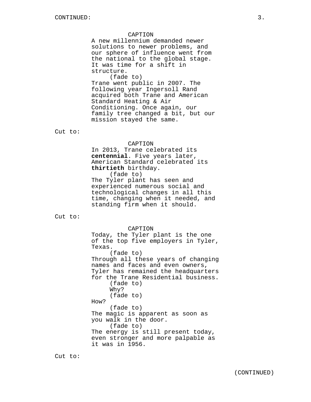### CAPTION

A new millennium demanded newer solutions to newer problems, and our sphere of influence went from the national to the global stage. It was time for a shift in structure.

(fade to) Trane went public in 2007. The following year Ingersoll Rand acquired both Trane and American Standard Heating & Air Conditioning. Once again, our family tree changed a bit, but our mission stayed the same.

Cut to:

### CAPTION

In 2013, Trane celebrated its **centennial**. Five years later, American Standard celebrated its **thirtieth** birthday. (fade to)

The Tyler plant has seen and experienced numerous social and technological changes in all this time, changing when it needed, and standing firm when it should.

Cut to:

CAPTION Today, the Tyler plant is the one of the top five employers in Tyler, Texas. (fade to) Through all these years of changing names and faces and even owners, Tyler has remained the headquarters for the Trane Residential business. (fade to) Why? (fade to) How? (fade to) The magic is apparent as soon as you walk in the door. (fade to) The energy is still present today, even stronger and more palpable as it was in 1956.

Cut to: